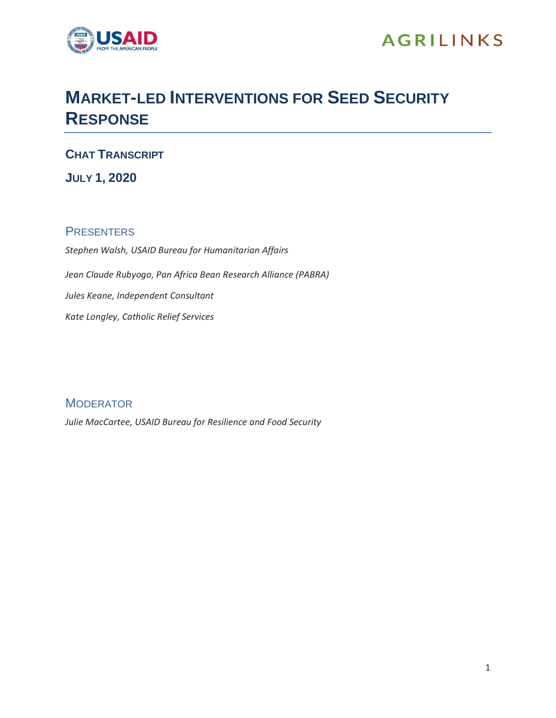

## **MARKET-LED INTERVENTIONS FOR SEED SECURITY RESPONSE**

**CHAT TRANSCRIPT**

**JULY 1, 2020**

## **PRESENTERS**

*Stephen Walsh, USAID Bureau for Humanitarian Affairs Jean Claude Rubyogo, Pan Africa Bean Research Alliance (PABRA) Jules Keane, Independent Consultant Kate Longley, Catholic Relief Services*

**MODERATOR** *Julie MacCartee, USAID Bureau for Resilience and Food Security*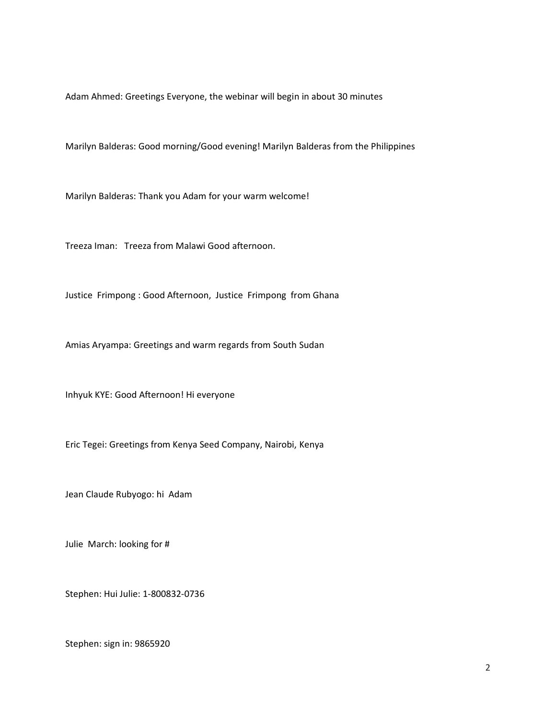Adam Ahmed: Greetings Everyone, the webinar will begin in about 30 minutes

Marilyn Balderas: Good morning/Good evening! Marilyn Balderas from the Philippines

Marilyn Balderas: Thank you Adam for your warm welcome!

Treeza Iman: Treeza from Malawi Good afternoon.

Justice Frimpong : Good Afternoon, Justice Frimpong from Ghana

Amias Aryampa: Greetings and warm regards from South Sudan

Inhyuk KYE: Good Afternoon! Hi everyone

Eric Tegei: Greetings from Kenya Seed Company, Nairobi, Kenya

Jean Claude Rubyogo: hi Adam

Julie March: looking for #

Stephen: Hui Julie: 1-800832-0736

Stephen: sign in: 9865920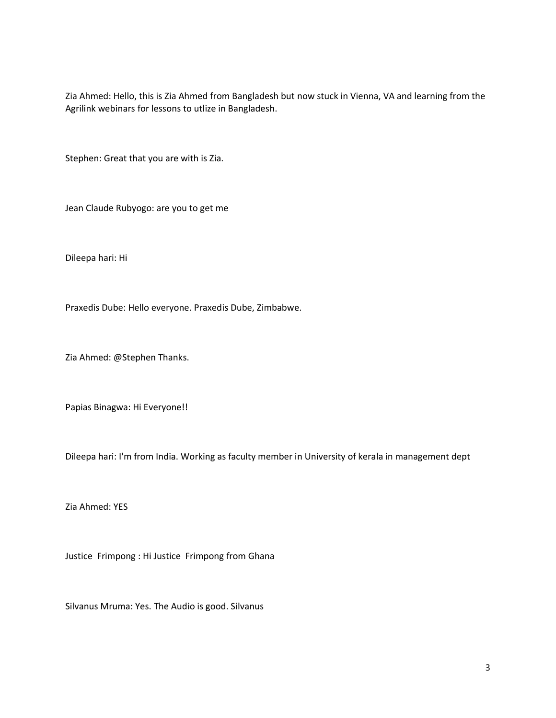Zia Ahmed: Hello, this is Zia Ahmed from Bangladesh but now stuck in Vienna, VA and learning from the Agrilink webinars for lessons to utlize in Bangladesh.

Stephen: Great that you are with is Zia.

Jean Claude Rubyogo: are you to get me

Dileepa hari: Hi

Praxedis Dube: Hello everyone. Praxedis Dube, Zimbabwe.

Zia Ahmed: @Stephen Thanks.

Papias Binagwa: Hi Everyone!!

Dileepa hari: I'm from India. Working as faculty member in University of kerala in management dept

Zia Ahmed: YES

Justice Frimpong : Hi Justice Frimpong from Ghana

Silvanus Mruma: Yes. The Audio is good. Silvanus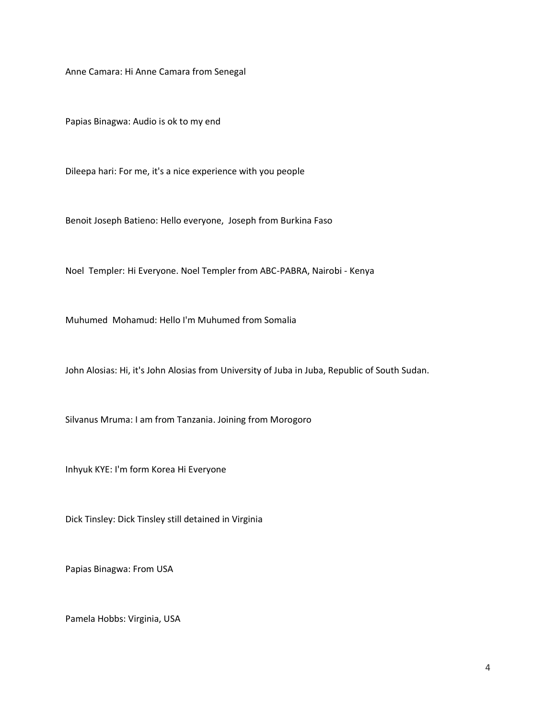Anne Camara: Hi Anne Camara from Senegal

Papias Binagwa: Audio is ok to my end

Dileepa hari: For me, it's a nice experience with you people

Benoit Joseph Batieno: Hello everyone, Joseph from Burkina Faso

Noel Templer: Hi Everyone. Noel Templer from ABC-PABRA, Nairobi - Kenya

Muhumed Mohamud: Hello I'm Muhumed from Somalia

John Alosias: Hi, it's John Alosias from University of Juba in Juba, Republic of South Sudan.

Silvanus Mruma: I am from Tanzania. Joining from Morogoro

Inhyuk KYE: I'm form Korea Hi Everyone

Dick Tinsley: Dick Tinsley still detained in Virginia

Papias Binagwa: From USA

Pamela Hobbs: Virginia, USA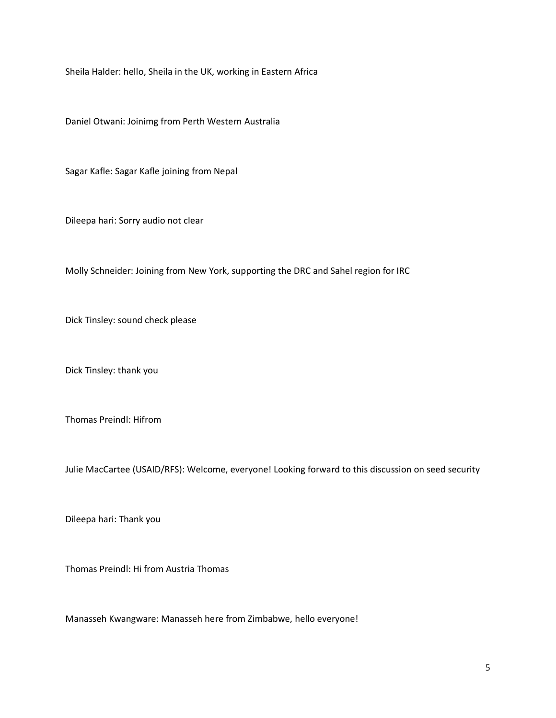Sheila Halder: hello, Sheila in the UK, working in Eastern Africa

Daniel Otwani: Joinimg from Perth Western Australia

Sagar Kafle: Sagar Kafle joining from Nepal

Dileepa hari: Sorry audio not clear

Molly Schneider: Joining from New York, supporting the DRC and Sahel region for IRC

Dick Tinsley: sound check please

Dick Tinsley: thank you

Thomas Preindl: Hifrom

Julie MacCartee (USAID/RFS): Welcome, everyone! Looking forward to this discussion on seed security

Dileepa hari: Thank you

Thomas Preindl: Hi from Austria Thomas

Manasseh Kwangware: Manasseh here from Zimbabwe, hello everyone!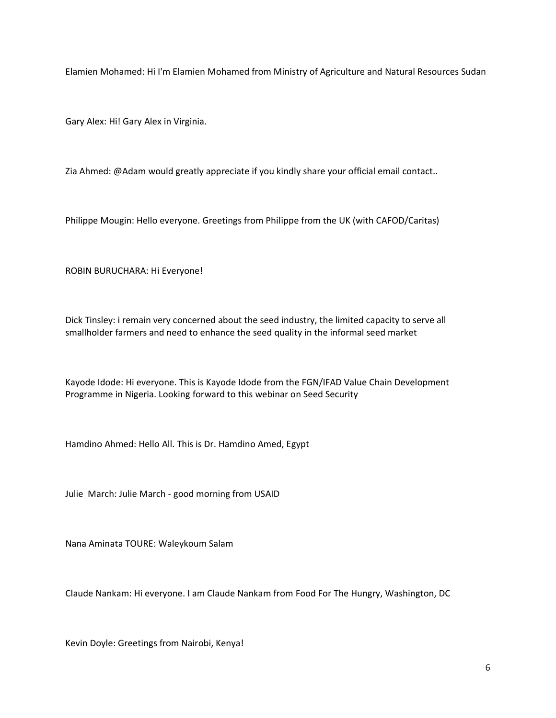Elamien Mohamed: Hi I'm Elamien Mohamed from Ministry of Agriculture and Natural Resources Sudan

Gary Alex: Hi! Gary Alex in Virginia.

Zia Ahmed: @Adam would greatly appreciate if you kindly share your official email contact..

Philippe Mougin: Hello everyone. Greetings from Philippe from the UK (with CAFOD/Caritas)

ROBIN BURUCHARA: Hi Everyone!

Dick Tinsley: i remain very concerned about the seed industry, the limited capacity to serve all smallholder farmers and need to enhance the seed quality in the informal seed market

Kayode Idode: Hi everyone. This is Kayode Idode from the FGN/IFAD Value Chain Development Programme in Nigeria. Looking forward to this webinar on Seed Security

Hamdino Ahmed: Hello All. This is Dr. Hamdino Amed, Egypt

Julie March: Julie March - good morning from USAID

Nana Aminata TOURE: Waleykoum Salam

Claude Nankam: Hi everyone. I am Claude Nankam from Food For The Hungry, Washington, DC

Kevin Doyle: Greetings from Nairobi, Kenya!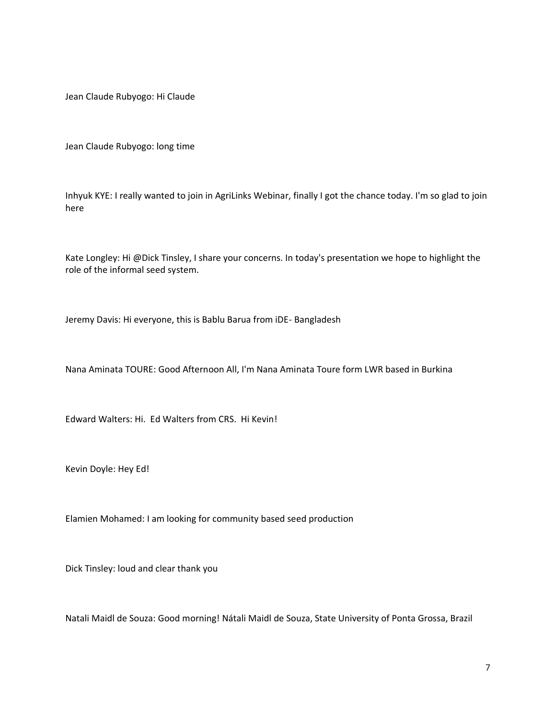Jean Claude Rubyogo: Hi Claude

Jean Claude Rubyogo: long time

Inhyuk KYE: I really wanted to join in AgriLinks Webinar, finally I got the chance today. I'm so glad to join here

Kate Longley: Hi @Dick Tinsley, I share your concerns. In today's presentation we hope to highlight the role of the informal seed system.

Jeremy Davis: Hi everyone, this is Bablu Barua from iDE- Bangladesh

Nana Aminata TOURE: Good Afternoon All, I'm Nana Aminata Toure form LWR based in Burkina

Edward Walters: Hi. Ed Walters from CRS. Hi Kevin!

Kevin Doyle: Hey Ed!

Elamien Mohamed: I am looking for community based seed production

Dick Tinsley: loud and clear thank you

Natali Maidl de Souza: Good morning! Nátali Maidl de Souza, State University of Ponta Grossa, Brazil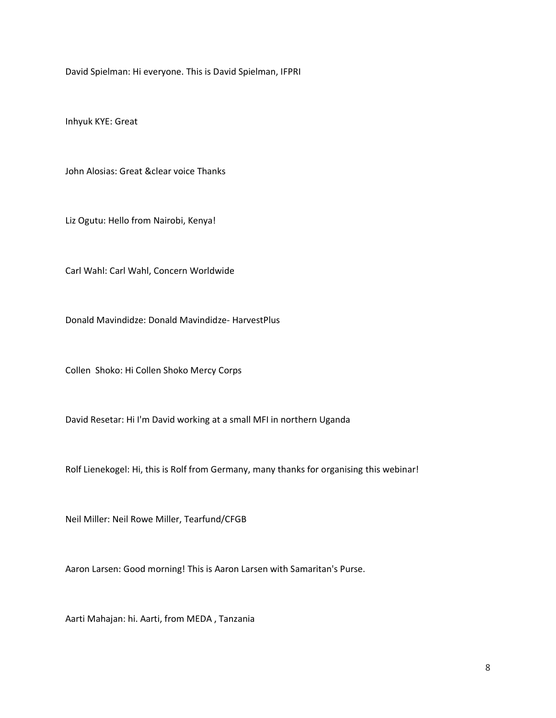David Spielman: Hi everyone. This is David Spielman, IFPRI

Inhyuk KYE: Great

John Alosias: Great &clear voice Thanks

Liz Ogutu: Hello from Nairobi, Kenya!

Carl Wahl: Carl Wahl, Concern Worldwide

Donald Mavindidze: Donald Mavindidze- HarvestPlus

Collen Shoko: Hi Collen Shoko Mercy Corps

David Resetar: Hi I'm David working at a small MFI in northern Uganda

Rolf Lienekogel: Hi, this is Rolf from Germany, many thanks for organising this webinar!

Neil Miller: Neil Rowe Miller, Tearfund/CFGB

Aaron Larsen: Good morning! This is Aaron Larsen with Samaritan's Purse.

Aarti Mahajan: hi. Aarti, from MEDA , Tanzania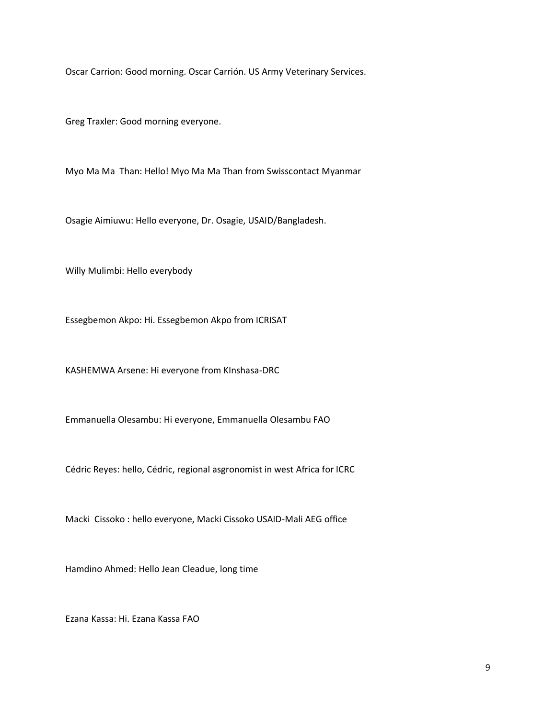Oscar Carrion: Good morning. Oscar Carrión. US Army Veterinary Services.

Greg Traxler: Good morning everyone.

Myo Ma Ma Than: Hello! Myo Ma Ma Than from Swisscontact Myanmar

Osagie Aimiuwu: Hello everyone, Dr. Osagie, USAID/Bangladesh.

Willy Mulimbi: Hello everybody

Essegbemon Akpo: Hi. Essegbemon Akpo from ICRISAT

KASHEMWA Arsene: Hi everyone from KInshasa-DRC

Emmanuella Olesambu: Hi everyone, Emmanuella Olesambu FAO

Cédric Reyes: hello, Cédric, regional asgronomist in west Africa for ICRC

Macki Cissoko : hello everyone, Macki Cissoko USAID-Mali AEG office

Hamdino Ahmed: Hello Jean Cleadue, long time

Ezana Kassa: Hi. Ezana Kassa FAO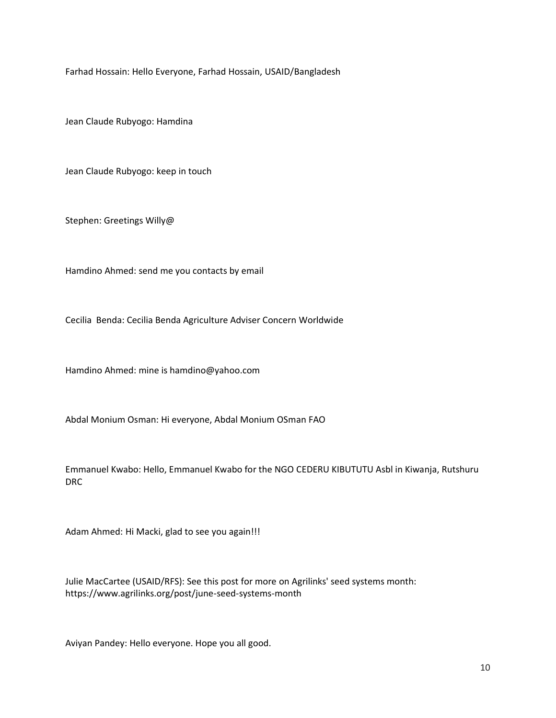Farhad Hossain: Hello Everyone, Farhad Hossain, USAID/Bangladesh

Jean Claude Rubyogo: Hamdina

Jean Claude Rubyogo: keep in touch

Stephen: Greetings Willy@

Hamdino Ahmed: send me you contacts by email

Cecilia Benda: Cecilia Benda Agriculture Adviser Concern Worldwide

Hamdino Ahmed: mine is hamdino@yahoo.com

Abdal Monium Osman: Hi everyone, Abdal Monium OSman FAO

Emmanuel Kwabo: Hello, Emmanuel Kwabo for the NGO CEDERU KIBUTUTU Asbl in Kiwanja, Rutshuru DRC

Adam Ahmed: Hi Macki, glad to see you again!!!

Julie MacCartee (USAID/RFS): See this post for more on Agrilinks' seed systems month: https://www.agrilinks.org/post/june-seed-systems-month

Aviyan Pandey: Hello everyone. Hope you all good.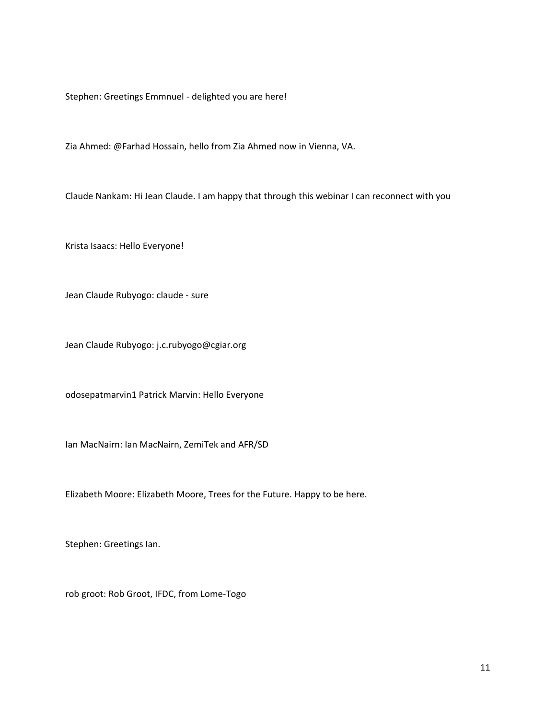Stephen: Greetings Emmnuel - delighted you are here!

Zia Ahmed: @Farhad Hossain, hello from Zia Ahmed now in Vienna, VA.

Claude Nankam: Hi Jean Claude. I am happy that through this webinar I can reconnect with you

Krista Isaacs: Hello Everyone!

Jean Claude Rubyogo: claude - sure

Jean Claude Rubyogo: j.c.rubyogo@cgiar.org

odosepatmarvin1 Patrick Marvin: Hello Everyone

Ian MacNairn: Ian MacNairn, ZemiTek and AFR/SD

Elizabeth Moore: Elizabeth Moore, Trees for the Future. Happy to be here.

Stephen: Greetings Ian.

rob groot: Rob Groot, IFDC, from Lome-Togo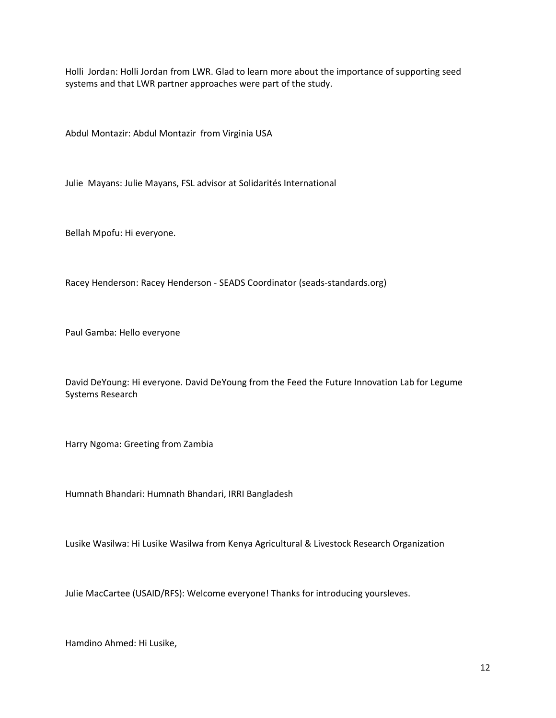Holli Jordan: Holli Jordan from LWR. Glad to learn more about the importance of supporting seed systems and that LWR partner approaches were part of the study.

Abdul Montazir: Abdul Montazir from Virginia USA

Julie Mayans: Julie Mayans, FSL advisor at Solidarités International

Bellah Mpofu: Hi everyone.

Racey Henderson: Racey Henderson - SEADS Coordinator (seads-standards.org)

Paul Gamba: Hello everyone

David DeYoung: Hi everyone. David DeYoung from the Feed the Future Innovation Lab for Legume Systems Research

Harry Ngoma: Greeting from Zambia

Humnath Bhandari: Humnath Bhandari, IRRI Bangladesh

Lusike Wasilwa: Hi Lusike Wasilwa from Kenya Agricultural & Livestock Research Organization

Julie MacCartee (USAID/RFS): Welcome everyone! Thanks for introducing yoursleves.

Hamdino Ahmed: Hi Lusike,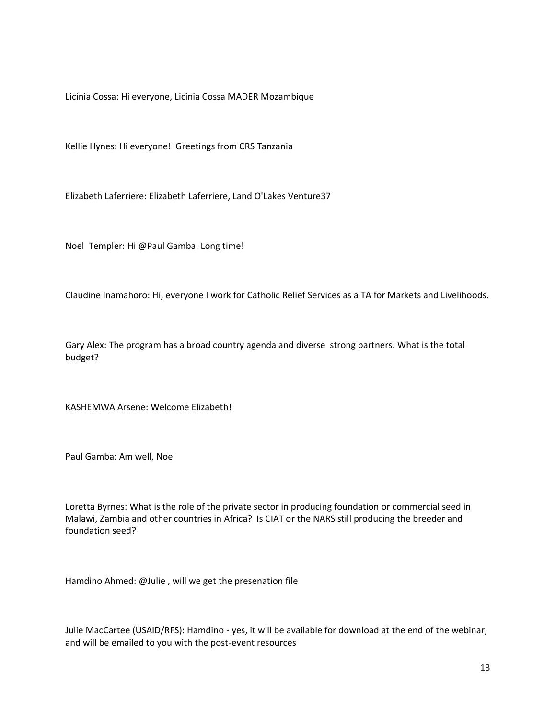Licínia Cossa: Hi everyone, Licinia Cossa MADER Mozambique

Kellie Hynes: Hi everyone! Greetings from CRS Tanzania

Elizabeth Laferriere: Elizabeth Laferriere, Land O'Lakes Venture37

Noel Templer: Hi @Paul Gamba. Long time!

Claudine Inamahoro: Hi, everyone I work for Catholic Relief Services as a TA for Markets and Livelihoods.

Gary Alex: The program has a broad country agenda and diverse strong partners. What is the total budget?

KASHEMWA Arsene: Welcome Elizabeth!

Paul Gamba: Am well, Noel

Loretta Byrnes: What is the role of the private sector in producing foundation or commercial seed in Malawi, Zambia and other countries in Africa? Is CIAT or the NARS still producing the breeder and foundation seed?

Hamdino Ahmed: @Julie , will we get the presenation file

Julie MacCartee (USAID/RFS): Hamdino - yes, it will be available for download at the end of the webinar, and will be emailed to you with the post-event resources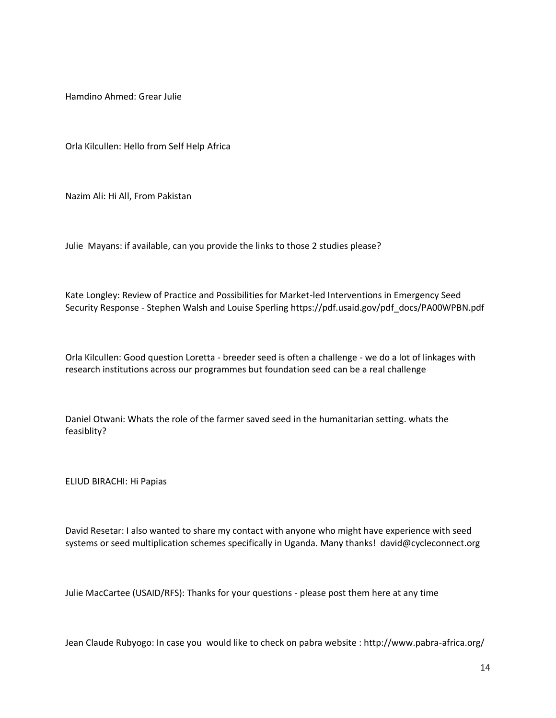Hamdino Ahmed: Grear Julie

Orla Kilcullen: Hello from Self Help Africa

Nazim Ali: Hi All, From Pakistan

Julie Mayans: if available, can you provide the links to those 2 studies please?

Kate Longley: Review of Practice and Possibilities for Market-led Interventions in Emergency Seed Security Response - Stephen Walsh and Louise Sperling https://pdf.usaid.gov/pdf\_docs/PA00WPBN.pdf

Orla Kilcullen: Good question Loretta - breeder seed is often a challenge - we do a lot of linkages with research institutions across our programmes but foundation seed can be a real challenge

Daniel Otwani: Whats the role of the farmer saved seed in the humanitarian setting. whats the feasiblity?

ELIUD BIRACHI: Hi Papias

David Resetar: I also wanted to share my contact with anyone who might have experience with seed systems or seed multiplication schemes specifically in Uganda. Many thanks! david@cycleconnect.org

Julie MacCartee (USAID/RFS): Thanks for your questions - please post them here at any time

Jean Claude Rubyogo: In case you would like to check on pabra website : http://www.pabra-africa.org/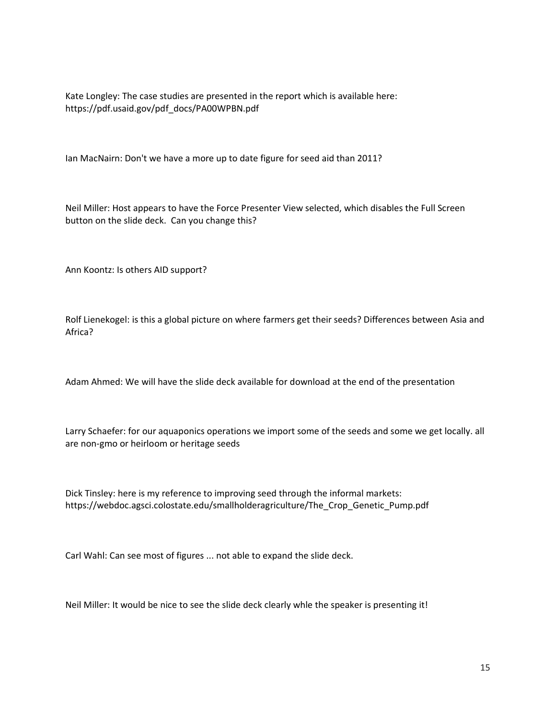Kate Longley: The case studies are presented in the report which is available here: https://pdf.usaid.gov/pdf\_docs/PA00WPBN.pdf

Ian MacNairn: Don't we have a more up to date figure for seed aid than 2011?

Neil Miller: Host appears to have the Force Presenter View selected, which disables the Full Screen button on the slide deck. Can you change this?

Ann Koontz: Is others AID support?

Rolf Lienekogel: is this a global picture on where farmers get their seeds? Differences between Asia and Africa?

Adam Ahmed: We will have the slide deck available for download at the end of the presentation

Larry Schaefer: for our aquaponics operations we import some of the seeds and some we get locally. all are non-gmo or heirloom or heritage seeds

Dick Tinsley: here is my reference to improving seed through the informal markets: https://webdoc.agsci.colostate.edu/smallholderagriculture/The\_Crop\_Genetic\_Pump.pdf

Carl Wahl: Can see most of figures ... not able to expand the slide deck.

Neil Miller: It would be nice to see the slide deck clearly whle the speaker is presenting it!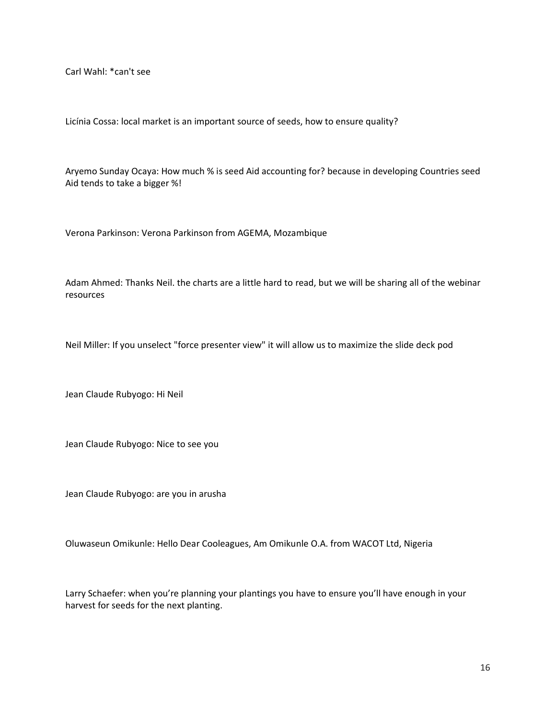Carl Wahl: \*can't see

Licínia Cossa: local market is an important source of seeds, how to ensure quality?

Aryemo Sunday Ocaya: How much % is seed Aid accounting for? because in developing Countries seed Aid tends to take a bigger %!

Verona Parkinson: Verona Parkinson from AGEMA, Mozambique

Adam Ahmed: Thanks Neil. the charts are a little hard to read, but we will be sharing all of the webinar resources

Neil Miller: If you unselect "force presenter view" it will allow us to maximize the slide deck pod

Jean Claude Rubyogo: Hi Neil

Jean Claude Rubyogo: Nice to see you

Jean Claude Rubyogo: are you in arusha

Oluwaseun Omikunle: Hello Dear Cooleagues, Am Omikunle O.A. from WACOT Ltd, Nigeria

Larry Schaefer: when you're planning your plantings you have to ensure you'll have enough in your harvest for seeds for the next planting.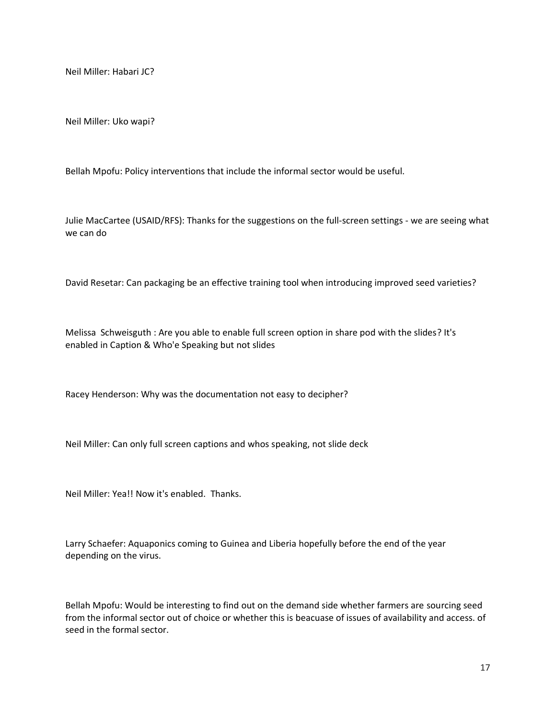Neil Miller: Habari JC?

Neil Miller: Uko wapi?

Bellah Mpofu: Policy interventions that include the informal sector would be useful.

Julie MacCartee (USAID/RFS): Thanks for the suggestions on the full-screen settings - we are seeing what we can do

David Resetar: Can packaging be an effective training tool when introducing improved seed varieties?

Melissa Schweisguth : Are you able to enable full screen option in share pod with the slides? It's enabled in Caption & Who'e Speaking but not slides

Racey Henderson: Why was the documentation not easy to decipher?

Neil Miller: Can only full screen captions and whos speaking, not slide deck

Neil Miller: Yea!! Now it's enabled. Thanks.

Larry Schaefer: Aquaponics coming to Guinea and Liberia hopefully before the end of the year depending on the virus.

Bellah Mpofu: Would be interesting to find out on the demand side whether farmers are sourcing seed from the informal sector out of choice or whether this is beacuase of issues of availability and access. of seed in the formal sector.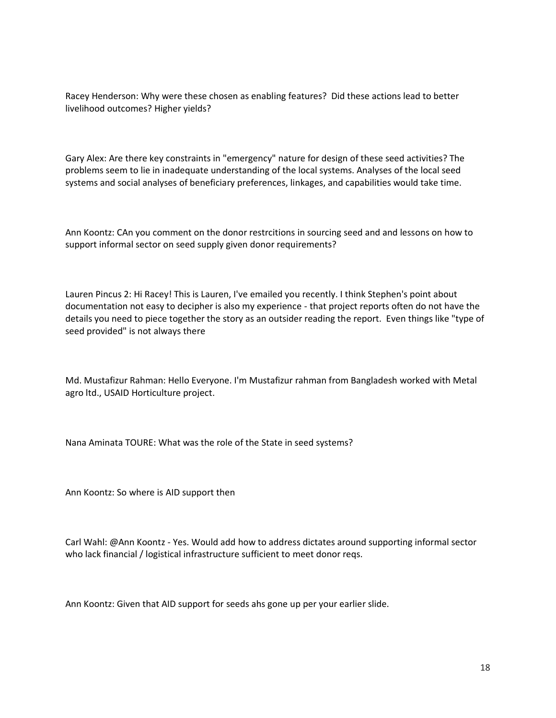Racey Henderson: Why were these chosen as enabling features? Did these actions lead to better livelihood outcomes? Higher yields?

Gary Alex: Are there key constraints in "emergency" nature for design of these seed activities? The problems seem to lie in inadequate understanding of the local systems. Analyses of the local seed systems and social analyses of beneficiary preferences, linkages, and capabilities would take time.

Ann Koontz: CAn you comment on the donor restrcitions in sourcing seed and and lessons on how to support informal sector on seed supply given donor requirements?

Lauren Pincus 2: Hi Racey! This is Lauren, I've emailed you recently. I think Stephen's point about documentation not easy to decipher is also my experience - that project reports often do not have the details you need to piece together the story as an outsider reading the report. Even things like "type of seed provided" is not always there

Md. Mustafizur Rahman: Hello Everyone. I'm Mustafizur rahman from Bangladesh worked with Metal agro ltd., USAID Horticulture project.

Nana Aminata TOURE: What was the role of the State in seed systems?

Ann Koontz: So where is AID support then

Carl Wahl: @Ann Koontz - Yes. Would add how to address dictates around supporting informal sector who lack financial / logistical infrastructure sufficient to meet donor reqs.

Ann Koontz: Given that AID support for seeds ahs gone up per your earlier slide.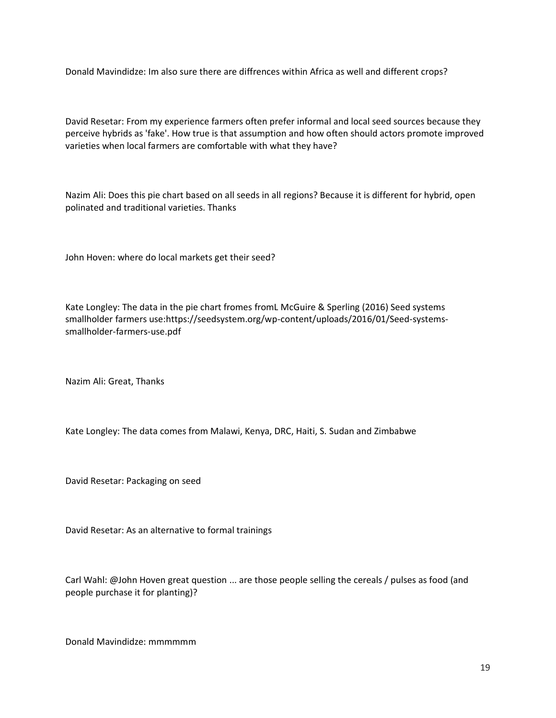Donald Mavindidze: Im also sure there are diffrences within Africa as well and different crops?

David Resetar: From my experience farmers often prefer informal and local seed sources because they perceive hybrids as 'fake'. How true is that assumption and how often should actors promote improved varieties when local farmers are comfortable with what they have?

Nazim Ali: Does this pie chart based on all seeds in all regions? Because it is different for hybrid, open polinated and traditional varieties. Thanks

John Hoven: where do local markets get their seed?

Kate Longley: The data in the pie chart fromes fromL McGuire & Sperling (2016) Seed systems smallholder farmers use:https://seedsystem.org/wp-content/uploads/2016/01/Seed-systemssmallholder-farmers-use.pdf

Nazim Ali: Great, Thanks

Kate Longley: The data comes from Malawi, Kenya, DRC, Haiti, S. Sudan and Zimbabwe

David Resetar: Packaging on seed

David Resetar: As an alternative to formal trainings

Carl Wahl: @John Hoven great question ... are those people selling the cereals / pulses as food (and people purchase it for planting)?

Donald Mavindidze: mmmmmm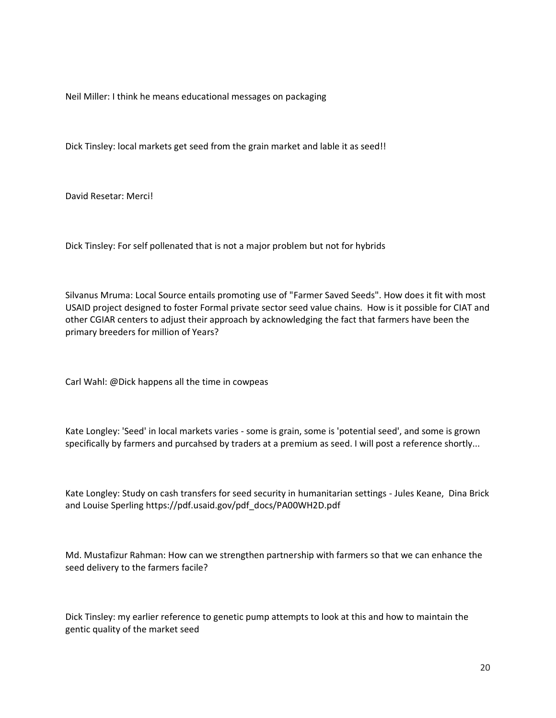Neil Miller: I think he means educational messages on packaging

Dick Tinsley: local markets get seed from the grain market and lable it as seed!!

David Resetar: Merci!

Dick Tinsley: For self pollenated that is not a major problem but not for hybrids

Silvanus Mruma: Local Source entails promoting use of "Farmer Saved Seeds". How does it fit with most USAID project designed to foster Formal private sector seed value chains. How is it possible for CIAT and other CGIAR centers to adjust their approach by acknowledging the fact that farmers have been the primary breeders for million of Years?

Carl Wahl: @Dick happens all the time in cowpeas

Kate Longley: 'Seed' in local markets varies - some is grain, some is 'potential seed', and some is grown specifically by farmers and purcahsed by traders at a premium as seed. I will post a reference shortly...

Kate Longley: Study on cash transfers for seed security in humanitarian settings - Jules Keane, Dina Brick and Louise Sperling https://pdf.usaid.gov/pdf\_docs/PA00WH2D.pdf

Md. Mustafizur Rahman: How can we strengthen partnership with farmers so that we can enhance the seed delivery to the farmers facile?

Dick Tinsley: my earlier reference to genetic pump attempts to look at this and how to maintain the gentic quality of the market seed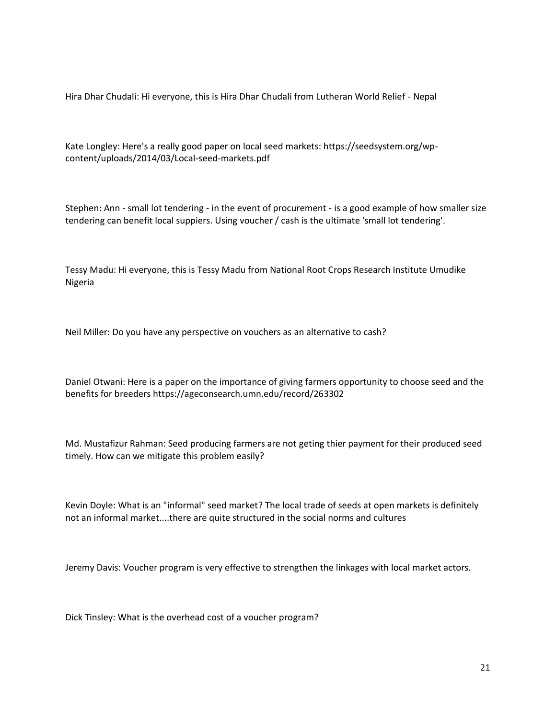Hira Dhar Chudali: Hi everyone, this is Hira Dhar Chudali from Lutheran World Relief - Nepal

Kate Longley: Here's a really good paper on local seed markets: https://seedsystem.org/wpcontent/uploads/2014/03/Local-seed-markets.pdf

Stephen: Ann - small lot tendering - in the event of procurement - is a good example of how smaller size tendering can benefit local suppiers. Using voucher / cash is the ultimate 'small lot tendering'.

Tessy Madu: Hi everyone, this is Tessy Madu from National Root Crops Research Institute Umudike Nigeria

Neil Miller: Do you have any perspective on vouchers as an alternative to cash?

Daniel Otwani: Here is a paper on the importance of giving farmers opportunity to choose seed and the benefits for breeders https://ageconsearch.umn.edu/record/263302

Md. Mustafizur Rahman: Seed producing farmers are not geting thier payment for their produced seed timely. How can we mitigate this problem easily?

Kevin Doyle: What is an "informal" seed market? The local trade of seeds at open markets is definitely not an informal market....there are quite structured in the social norms and cultures

Jeremy Davis: Voucher program is very effective to strengthen the linkages with local market actors.

Dick Tinsley: What is the overhead cost of a voucher program?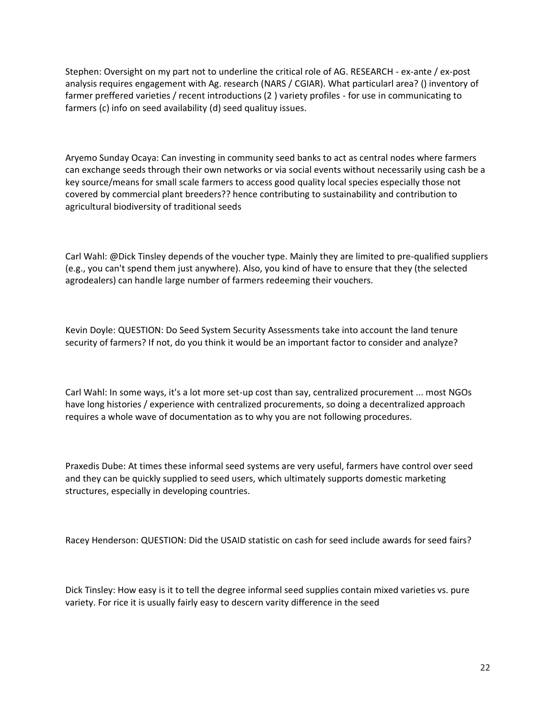Stephen: Oversight on my part not to underline the critical role of AG. RESEARCH - ex-ante / ex-post analysis requires engagement with Ag. research (NARS / CGIAR). What particularl area? () inventory of farmer preffered varieties / recent introductions (2 ) variety profiles - for use in communicating to farmers (c) info on seed availability (d) seed qualituy issues.

Aryemo Sunday Ocaya: Can investing in community seed banks to act as central nodes where farmers can exchange seeds through their own networks or via social events without necessarily using cash be a key source/means for small scale farmers to access good quality local species especially those not covered by commercial plant breeders?? hence contributing to sustainability and contribution to agricultural biodiversity of traditional seeds

Carl Wahl: @Dick Tinsley depends of the voucher type. Mainly they are limited to pre-qualified suppliers (e.g., you can't spend them just anywhere). Also, you kind of have to ensure that they (the selected agrodealers) can handle large number of farmers redeeming their vouchers.

Kevin Doyle: QUESTION: Do Seed System Security Assessments take into account the land tenure security of farmers? If not, do you think it would be an important factor to consider and analyze?

Carl Wahl: In some ways, it's a lot more set-up cost than say, centralized procurement ... most NGOs have long histories / experience with centralized procurements, so doing a decentralized approach requires a whole wave of documentation as to why you are not following procedures.

Praxedis Dube: At times these informal seed systems are very useful, farmers have control over seed and they can be quickly supplied to seed users, which ultimately supports domestic marketing structures, especially in developing countries.

Racey Henderson: QUESTION: Did the USAID statistic on cash for seed include awards for seed fairs?

Dick Tinsley: How easy is it to tell the degree informal seed supplies contain mixed varieties vs. pure variety. For rice it is usually fairly easy to descern varity difference in the seed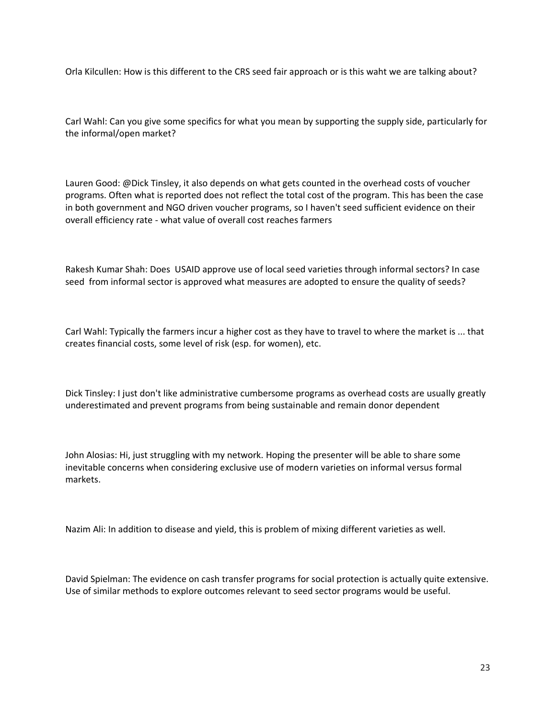Orla Kilcullen: How is this different to the CRS seed fair approach or is this waht we are talking about?

Carl Wahl: Can you give some specifics for what you mean by supporting the supply side, particularly for the informal/open market?

Lauren Good: @Dick Tinsley, it also depends on what gets counted in the overhead costs of voucher programs. Often what is reported does not reflect the total cost of the program. This has been the case in both government and NGO driven voucher programs, so I haven't seed sufficient evidence on their overall efficiency rate - what value of overall cost reaches farmers

Rakesh Kumar Shah: Does USAID approve use of local seed varieties through informal sectors? In case seed from informal sector is approved what measures are adopted to ensure the quality of seeds?

Carl Wahl: Typically the farmers incur a higher cost as they have to travel to where the market is ... that creates financial costs, some level of risk (esp. for women), etc.

Dick Tinsley: I just don't like administrative cumbersome programs as overhead costs are usually greatly underestimated and prevent programs from being sustainable and remain donor dependent

John Alosias: Hi, just struggling with my network. Hoping the presenter will be able to share some inevitable concerns when considering exclusive use of modern varieties on informal versus formal markets.

Nazim Ali: In addition to disease and yield, this is problem of mixing different varieties as well.

David Spielman: The evidence on cash transfer programs for social protection is actually quite extensive. Use of similar methods to explore outcomes relevant to seed sector programs would be useful.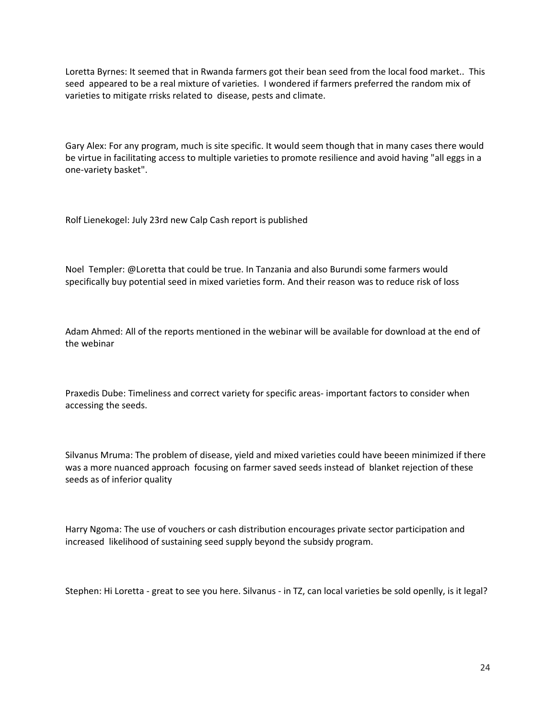Loretta Byrnes: It seemed that in Rwanda farmers got their bean seed from the local food market.. This seed appeared to be a real mixture of varieties. I wondered if farmers preferred the random mix of varieties to mitigate rrisks related to disease, pests and climate.

Gary Alex: For any program, much is site specific. It would seem though that in many cases there would be virtue in facilitating access to multiple varieties to promote resilience and avoid having "all eggs in a one-variety basket".

Rolf Lienekogel: July 23rd new Calp Cash report is published

Noel Templer: @Loretta that could be true. In Tanzania and also Burundi some farmers would specifically buy potential seed in mixed varieties form. And their reason was to reduce risk of loss

Adam Ahmed: All of the reports mentioned in the webinar will be available for download at the end of the webinar

Praxedis Dube: Timeliness and correct variety for specific areas- important factors to consider when accessing the seeds.

Silvanus Mruma: The problem of disease, yield and mixed varieties could have beeen minimized if there was a more nuanced approach focusing on farmer saved seeds instead of blanket rejection of these seeds as of inferior quality

Harry Ngoma: The use of vouchers or cash distribution encourages private sector participation and increased likelihood of sustaining seed supply beyond the subsidy program.

Stephen: Hi Loretta - great to see you here. Silvanus - in TZ, can local varieties be sold openlly, is it legal?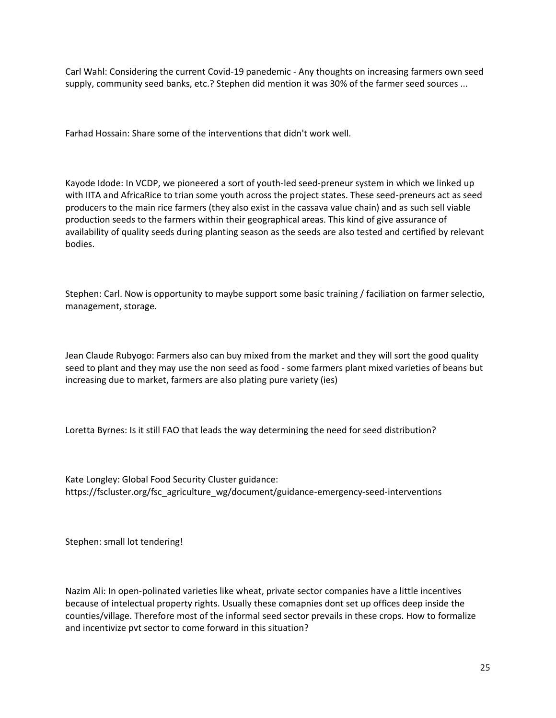Carl Wahl: Considering the current Covid-19 panedemic - Any thoughts on increasing farmers own seed supply, community seed banks, etc.? Stephen did mention it was 30% of the farmer seed sources ...

Farhad Hossain: Share some of the interventions that didn't work well.

Kayode Idode: In VCDP, we pioneered a sort of youth-led seed-preneur system in which we linked up with IITA and AfricaRice to trian some youth across the project states. These seed-preneurs act as seed producers to the main rice farmers (they also exist in the cassava value chain) and as such sell viable production seeds to the farmers within their geographical areas. This kind of give assurance of availability of quality seeds during planting season as the seeds are also tested and certified by relevant bodies.

Stephen: Carl. Now is opportunity to maybe support some basic training / faciliation on farmer selectio, management, storage.

Jean Claude Rubyogo: Farmers also can buy mixed from the market and they will sort the good quality seed to plant and they may use the non seed as food - some farmers plant mixed varieties of beans but increasing due to market, farmers are also plating pure variety (ies)

Loretta Byrnes: Is it still FAO that leads the way determining the need for seed distribution?

Kate Longley: Global Food Security Cluster guidance: https://fscluster.org/fsc\_agriculture\_wg/document/guidance-emergency-seed-interventions

Stephen: small lot tendering!

Nazim Ali: In open-polinated varieties like wheat, private sector companies have a little incentives because of intelectual property rights. Usually these comapnies dont set up offices deep inside the counties/village. Therefore most of the informal seed sector prevails in these crops. How to formalize and incentivize pvt sector to come forward in this situation?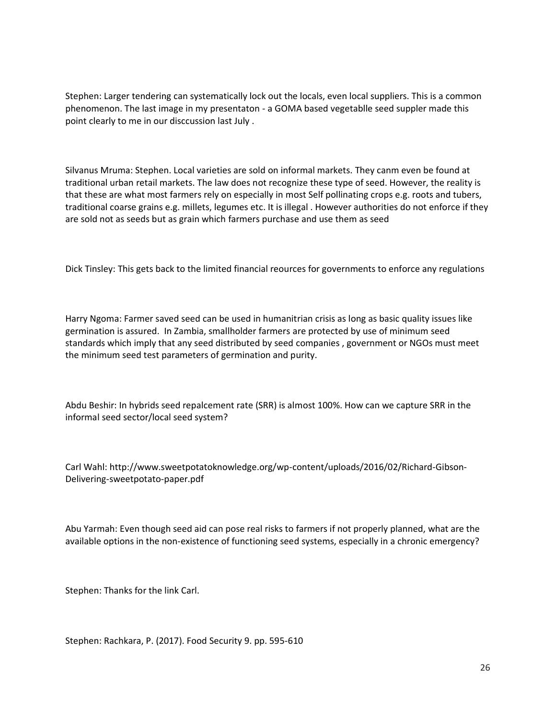Stephen: Larger tendering can systematically lock out the locals, even local suppliers. This is a common phenomenon. The last image in my presentaton - a GOMA based vegetablle seed suppler made this point clearly to me in our disccussion last July .

Silvanus Mruma: Stephen. Local varieties are sold on informal markets. They canm even be found at traditional urban retail markets. The law does not recognize these type of seed. However, the reality is that these are what most farmers rely on especially in most Self pollinating crops e.g. roots and tubers, traditional coarse grains e.g. millets, legumes etc. It is illegal . However authorities do not enforce if they are sold not as seeds but as grain which farmers purchase and use them as seed

Dick Tinsley: This gets back to the limited financial reources for governments to enforce any regulations

Harry Ngoma: Farmer saved seed can be used in humanitrian crisis as long as basic quality issues like germination is assured. In Zambia, smallholder farmers are protected by use of minimum seed standards which imply that any seed distributed by seed companies , government or NGOs must meet the minimum seed test parameters of germination and purity.

Abdu Beshir: In hybrids seed repalcement rate (SRR) is almost 100%. How can we capture SRR in the informal seed sector/local seed system?

Carl Wahl: http://www.sweetpotatoknowledge.org/wp-content/uploads/2016/02/Richard-Gibson-Delivering-sweetpotato-paper.pdf

Abu Yarmah: Even though seed aid can pose real risks to farmers if not properly planned, what are the available options in the non-existence of functioning seed systems, especially in a chronic emergency?

Stephen: Thanks for the link Carl.

Stephen: Rachkara, P. (2017). Food Security 9. pp. 595-610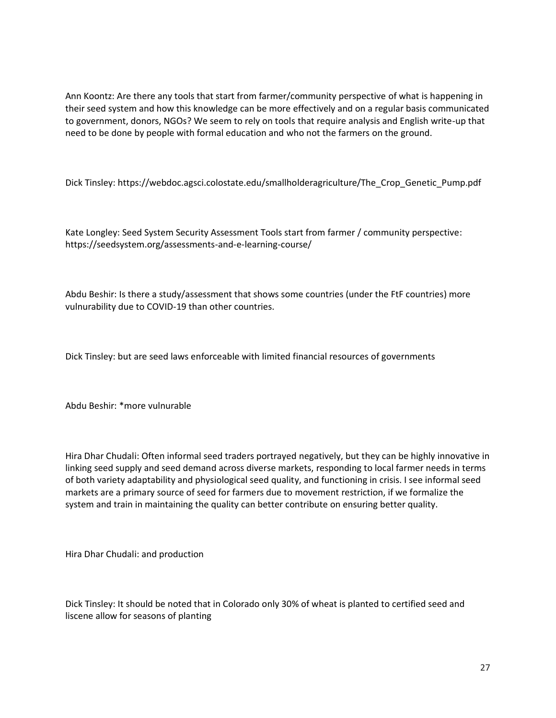Ann Koontz: Are there any tools that start from farmer/community perspective of what is happening in their seed system and how this knowledge can be more effectively and on a regular basis communicated to government, donors, NGOs? We seem to rely on tools that require analysis and English write-up that need to be done by people with formal education and who not the farmers on the ground.

Dick Tinsley: https://webdoc.agsci.colostate.edu/smallholderagriculture/The\_Crop\_Genetic\_Pump.pdf

Kate Longley: Seed System Security Assessment Tools start from farmer / community perspective: https://seedsystem.org/assessments-and-e-learning-course/

Abdu Beshir: Is there a study/assessment that shows some countries (under the FtF countries) more vulnurability due to COVID-19 than other countries.

Dick Tinsley: but are seed laws enforceable with limited financial resources of governments

Abdu Beshir: \*more vulnurable

Hira Dhar Chudali: Often informal seed traders portrayed negatively, but they can be highly innovative in linking seed supply and seed demand across diverse markets, responding to local farmer needs in terms of both variety adaptability and physiological seed quality, and functioning in crisis. I see informal seed markets are a primary source of seed for farmers due to movement restriction, if we formalize the system and train in maintaining the quality can better contribute on ensuring better quality.

Hira Dhar Chudali: and production

Dick Tinsley: It should be noted that in Colorado only 30% of wheat is planted to certified seed and liscene allow for seasons of planting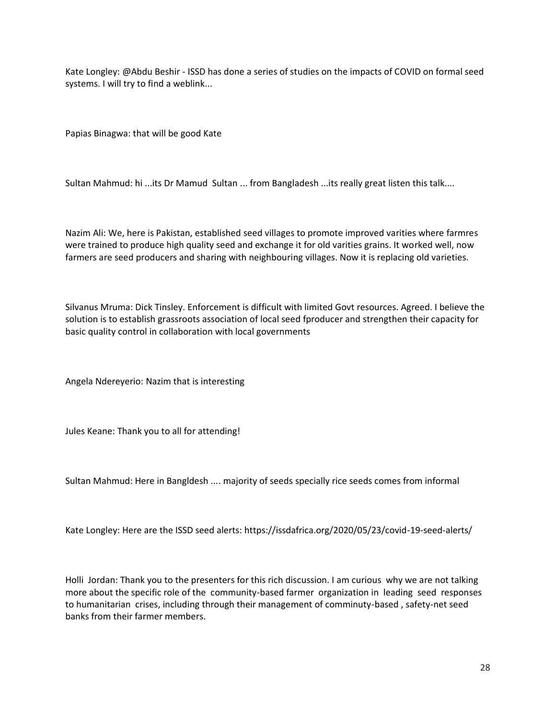Kate Longley: @Abdu Beshir - ISSD has done a series of studies on the impacts of COVID on formal seed systems. I will try to find a weblink...

Papias Binagwa: that will be good Kate

Sultan Mahmud: hi ...its Dr Mamud Sultan ... from Bangladesh ...its really great listen this talk....

Nazim Ali: We, here is Pakistan, established seed villages to promote improved varities where farmres were trained to produce high quality seed and exchange it for old varities grains. It worked well, now farmers are seed producers and sharing with neighbouring villages. Now it is replacing old varieties.

Silvanus Mruma: Dick Tinsley. Enforcement is difficult with limited Govt resources. Agreed. I believe the solution is to establish grassroots association of local seed fproducer and strengthen their capacity for basic quality control in collaboration with local governments

Angela Ndereyerio: Nazim that is interesting

Jules Keane: Thank you to all for attending!

Sultan Mahmud: Here in Bangldesh .... majority of seeds specially rice seeds comes from informal

Kate Longley: Here are the ISSD seed alerts: https://issdafrica.org/2020/05/23/covid-19-seed-alerts/

Holli Jordan: Thank you to the presenters for this rich discussion. I am curious why we are not talking more about the specific role of the community-based farmer organization in leading seed responses to humanitarian crises, including through their management of comminuty-based , safety-net seed banks from their farmer members.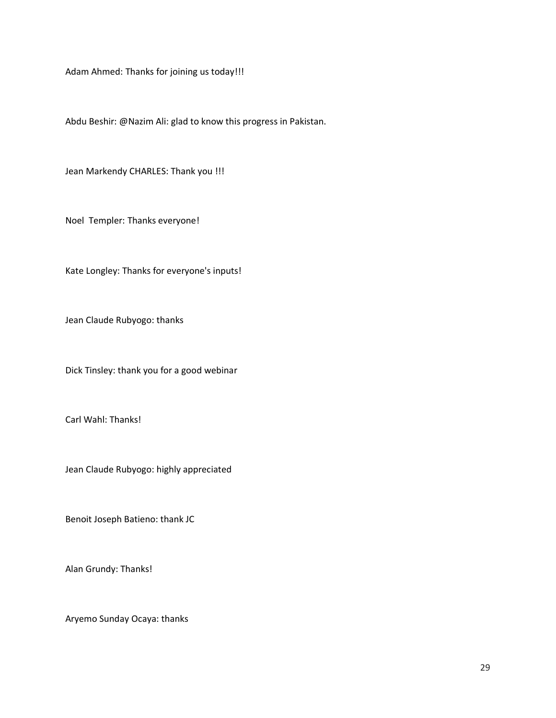Adam Ahmed: Thanks for joining us today!!!

Abdu Beshir: @Nazim Ali: glad to know this progress in Pakistan.

Jean Markendy CHARLES: Thank you !!!

Noel Templer: Thanks everyone!

Kate Longley: Thanks for everyone's inputs!

Jean Claude Rubyogo: thanks

Dick Tinsley: thank you for a good webinar

Carl Wahl: Thanks!

Jean Claude Rubyogo: highly appreciated

Benoit Joseph Batieno: thank JC

Alan Grundy: Thanks!

Aryemo Sunday Ocaya: thanks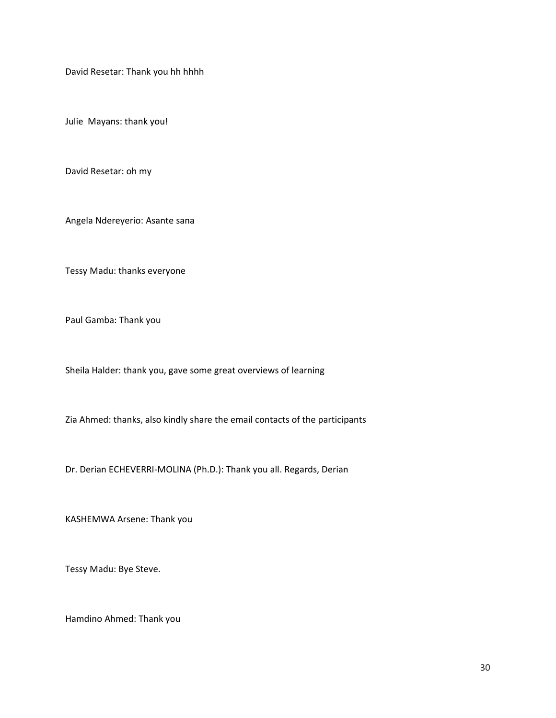David Resetar: Thank you hh hhhh

Julie Mayans: thank you!

David Resetar: oh my

Angela Ndereyerio: Asante sana

Tessy Madu: thanks everyone

Paul Gamba: Thank you

Sheila Halder: thank you, gave some great overviews of learning

Zia Ahmed: thanks, also kindly share the email contacts of the participants

Dr. Derian ECHEVERRI-MOLINA (Ph.D.): Thank you all. Regards, Derian

KASHEMWA Arsene: Thank you

Tessy Madu: Bye Steve.

Hamdino Ahmed: Thank you